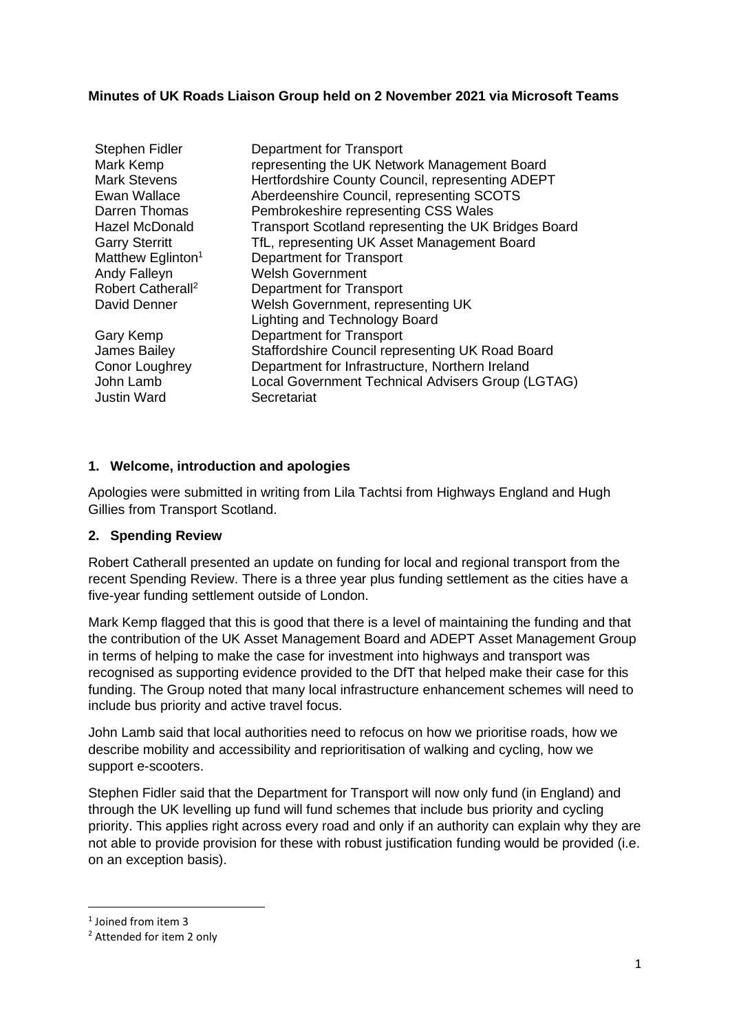### **Minutes of UK Roads Liaison Group held on 2 November 2021 via Microsoft Teams**

| <b>Stephen Fidler</b><br>Mark Kemp<br><b>Mark Stevens</b><br>Ewan Wallace<br>Darren Thomas | Department for Transport<br>representing the UK Network Management Board<br>Hertfordshire County Council, representing ADEPT<br>Aberdeenshire Council, representing SCOTS<br>Pembrokeshire representing CSS Wales |
|--------------------------------------------------------------------------------------------|-------------------------------------------------------------------------------------------------------------------------------------------------------------------------------------------------------------------|
| Hazel McDonald                                                                             | Transport Scotland representing the UK Bridges Board                                                                                                                                                              |
| <b>Garry Sterritt</b>                                                                      | TfL, representing UK Asset Management Board                                                                                                                                                                       |
| Matthew Eglinton <sup>1</sup>                                                              | Department for Transport                                                                                                                                                                                          |
| Andy Falleyn                                                                               | <b>Welsh Government</b>                                                                                                                                                                                           |
| Robert Catherall <sup>2</sup>                                                              | Department for Transport                                                                                                                                                                                          |
| David Denner                                                                               | Welsh Government, representing UK                                                                                                                                                                                 |
|                                                                                            | <b>Lighting and Technology Board</b>                                                                                                                                                                              |
| Gary Kemp                                                                                  | <b>Department for Transport</b>                                                                                                                                                                                   |
| James Bailey                                                                               | Staffordshire Council representing UK Road Board                                                                                                                                                                  |
| Conor Loughrey<br>John Lamb<br><b>Justin Ward</b>                                          | Department for Infrastructure, Northern Ireland<br>Local Government Technical Advisers Group (LGTAG)<br>Secretariat                                                                                               |

#### **1. Welcome, introduction and apologies**

Apologies were submitted in writing from Lila Tachtsi from Highways England and Hugh Gillies from Transport Scotland.

#### **2. Spending Review**

Robert Catherall presented an update on funding for local and regional transport from the recent Spending Review. There is a three year plus funding settlement as the cities have a five-year funding settlement outside of London.

Mark Kemp flagged that this is good that there is a level of maintaining the funding and that the contribution of the UK Asset Management Board and ADEPT Asset Management Group in terms of helping to make the case for investment into highways and transport was recognised as supporting evidence provided to the DfT that helped make their case for this funding. The Group noted that many local infrastructure enhancement schemes will need to include bus priority and active travel focus.

John Lamb said that local authorities need to refocus on how we prioritise roads, how we describe mobility and accessibility and reprioritisation of walking and cycling, how we support e-scooters.

Stephen Fidler said that the Department for Transport will now only fund (in England) and through the UK levelling up fund will fund schemes that include bus priority and cycling priority. This applies right across every road and only if an authority can explain why they are not able to provide provision for these with robust justification funding would be provided (i.e. on an exception basis).

<sup>1</sup> Joined from item 3

<sup>2</sup> Attended for item 2 only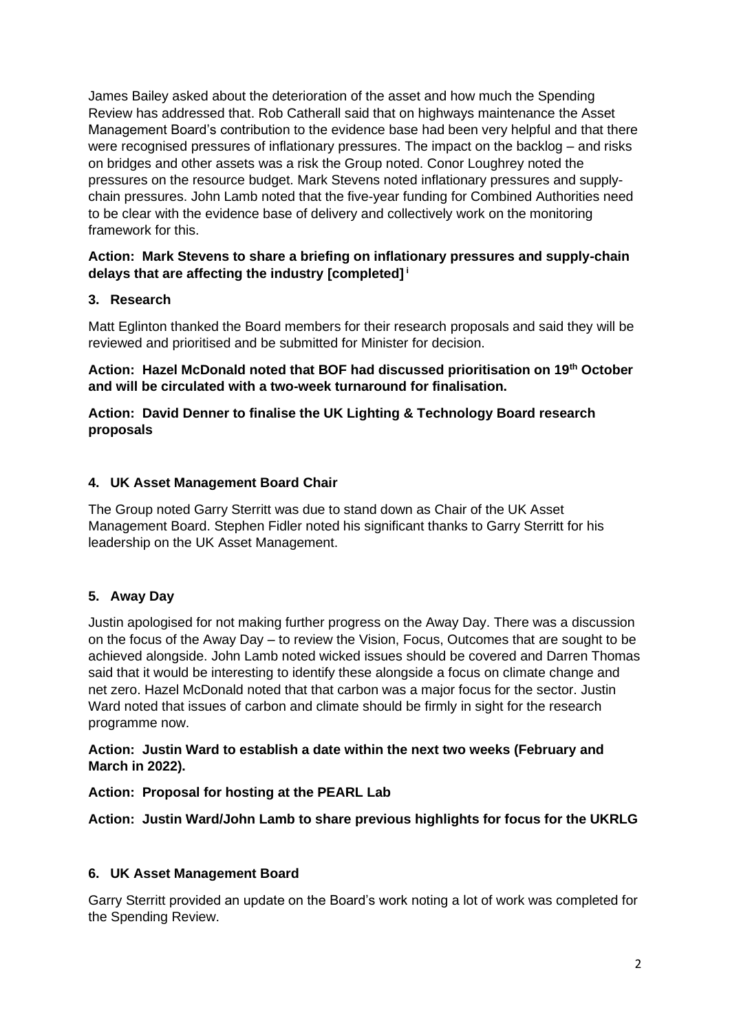James Bailey asked about the deterioration of the asset and how much the Spending Review has addressed that. Rob Catherall said that on highways maintenance the Asset Management Board's contribution to the evidence base had been very helpful and that there were recognised pressures of inflationary pressures. The impact on the backlog – and risks on bridges and other assets was a risk the Group noted. Conor Loughrey noted the pressures on the resource budget. Mark Stevens noted inflationary pressures and supplychain pressures. John Lamb noted that the five-year funding for Combined Authorities need to be clear with the evidence base of delivery and collectively work on the monitoring framework for this.

## **Action: Mark Stevens to share a briefing on inflationary pressures and supply-chain delays that are affecting the industry [completed] <sup>i</sup>**

# **3. Research**

Matt Eglinton thanked the Board members for their research proposals and said they will be reviewed and prioritised and be submitted for Minister for decision.

**Action: Hazel McDonald noted that BOF had discussed prioritisation on 19th October and will be circulated with a two-week turnaround for finalisation.** 

### **Action: David Denner to finalise the UK Lighting & Technology Board research proposals**

## **4. UK Asset Management Board Chair**

The Group noted Garry Sterritt was due to stand down as Chair of the UK Asset Management Board. Stephen Fidler noted his significant thanks to Garry Sterritt for his leadership on the UK Asset Management.

# **5. Away Day**

Justin apologised for not making further progress on the Away Day. There was a discussion on the focus of the Away Day – to review the Vision, Focus, Outcomes that are sought to be achieved alongside. John Lamb noted wicked issues should be covered and Darren Thomas said that it would be interesting to identify these alongside a focus on climate change and net zero. Hazel McDonald noted that that carbon was a major focus for the sector. Justin Ward noted that issues of carbon and climate should be firmly in sight for the research programme now.

#### **Action: Justin Ward to establish a date within the next two weeks (February and March in 2022).**

#### **Action: Proposal for hosting at the PEARL Lab**

**Action: Justin Ward/John Lamb to share previous highlights for focus for the UKRLG** 

# **6. UK Asset Management Board**

Garry Sterritt provided an update on the Board's work noting a lot of work was completed for the Spending Review.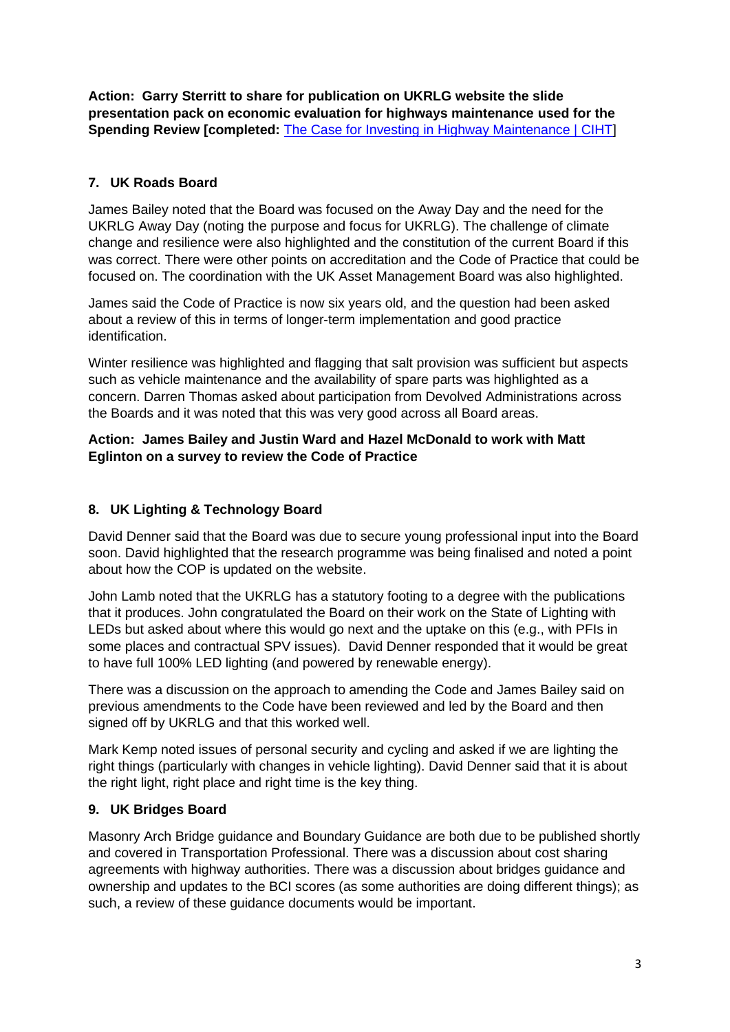**Action: Garry Sterritt to share for publication on UKRLG website the slide presentation pack on economic evaluation for highways maintenance used for the Spending Review Icompleted: The Case for Investing in Highway Maintenance | CIHTI** 

# **7. UK Roads Board**

James Bailey noted that the Board was focused on the Away Day and the need for the UKRLG Away Day (noting the purpose and focus for UKRLG). The challenge of climate change and resilience were also highlighted and the constitution of the current Board if this was correct. There were other points on accreditation and the Code of Practice that could be focused on. The coordination with the UK Asset Management Board was also highlighted.

James said the Code of Practice is now six years old, and the question had been asked about a review of this in terms of longer-term implementation and good practice identification.

Winter resilience was highlighted and flagging that salt provision was sufficient but aspects such as vehicle maintenance and the availability of spare parts was highlighted as a concern. Darren Thomas asked about participation from Devolved Administrations across the Boards and it was noted that this was very good across all Board areas.

# **Action: James Bailey and Justin Ward and Hazel McDonald to work with Matt Eglinton on a survey to review the Code of Practice**

## **8. UK Lighting & Technology Board**

David Denner said that the Board was due to secure young professional input into the Board soon. David highlighted that the research programme was being finalised and noted a point about how the COP is updated on the website.

John Lamb noted that the UKRLG has a statutory footing to a degree with the publications that it produces. John congratulated the Board on their work on the State of Lighting with LEDs but asked about where this would go next and the uptake on this (e.g., with PFIs in some places and contractual SPV issues). David Denner responded that it would be great to have full 100% LED lighting (and powered by renewable energy).

There was a discussion on the approach to amending the Code and James Bailey said on previous amendments to the Code have been reviewed and led by the Board and then signed off by UKRLG and that this worked well.

Mark Kemp noted issues of personal security and cycling and asked if we are lighting the right things (particularly with changes in vehicle lighting). David Denner said that it is about the right light, right place and right time is the key thing.

# **9. UK Bridges Board**

Masonry Arch Bridge guidance and Boundary Guidance are both due to be published shortly and covered in Transportation Professional. There was a discussion about cost sharing agreements with highway authorities. There was a discussion about bridges guidance and ownership and updates to the BCI scores (as some authorities are doing different things); as such, a review of these guidance documents would be important.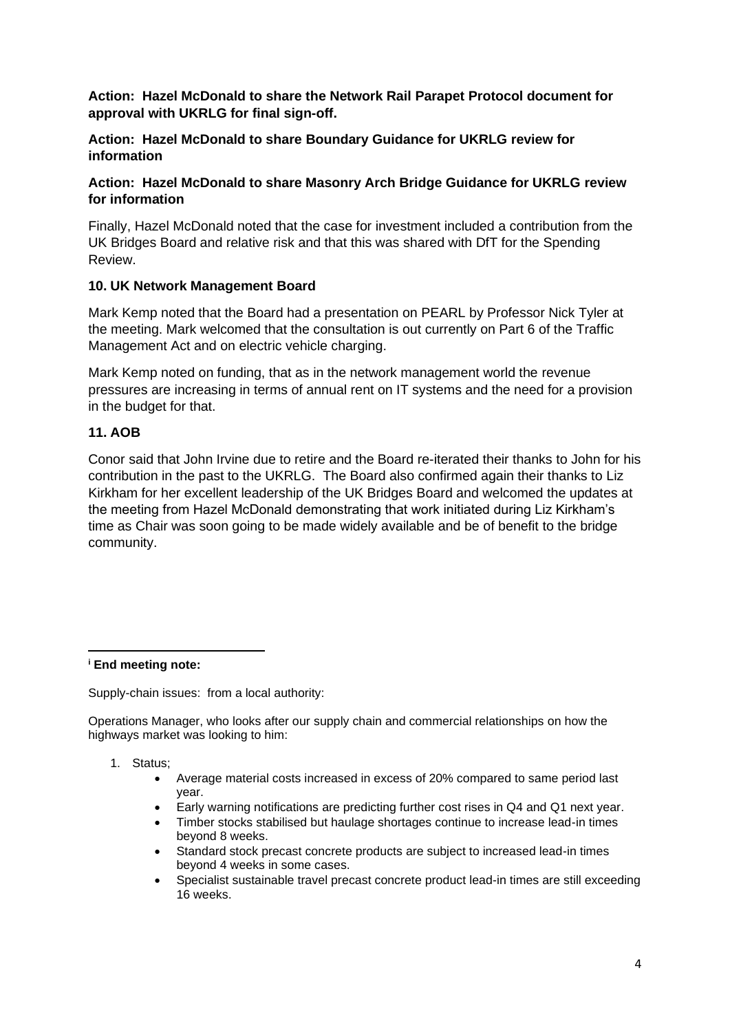### **Action: Hazel McDonald to share the Network Rail Parapet Protocol document for approval with UKRLG for final sign-off.**

### **Action: Hazel McDonald to share Boundary Guidance for UKRLG review for information**

## **Action: Hazel McDonald to share Masonry Arch Bridge Guidance for UKRLG review for information**

Finally, Hazel McDonald noted that the case for investment included a contribution from the UK Bridges Board and relative risk and that this was shared with DfT for the Spending Review.

## **10. UK Network Management Board**

Mark Kemp noted that the Board had a presentation on PEARL by Professor Nick Tyler at the meeting. Mark welcomed that the consultation is out currently on Part 6 of the Traffic Management Act and on electric vehicle charging.

Mark Kemp noted on funding, that as in the network management world the revenue pressures are increasing in terms of annual rent on IT systems and the need for a provision in the budget for that.

## **11. AOB**

Conor said that John Irvine due to retire and the Board re-iterated their thanks to John for his contribution in the past to the UKRLG. The Board also confirmed again their thanks to Liz Kirkham for her excellent leadership of the UK Bridges Board and welcomed the updates at the meeting from Hazel McDonald demonstrating that work initiated during Liz Kirkham's time as Chair was soon going to be made widely available and be of benefit to the bridge community.

**<sup>i</sup> End meeting note:**

Supply-chain issues: from a local authority:

Operations Manager, who looks after our supply chain and commercial relationships on how the highways market was looking to him:

- 1. Status;
	- Average material costs increased in excess of 20% compared to same period last year.
	- Early warning notifications are predicting further cost rises in Q4 and Q1 next year.
	- Timber stocks stabilised but haulage shortages continue to increase lead-in times beyond 8 weeks.
	- Standard stock precast concrete products are subject to increased lead-in times beyond 4 weeks in some cases.
	- Specialist sustainable travel precast concrete product lead-in times are still exceeding 16 weeks.